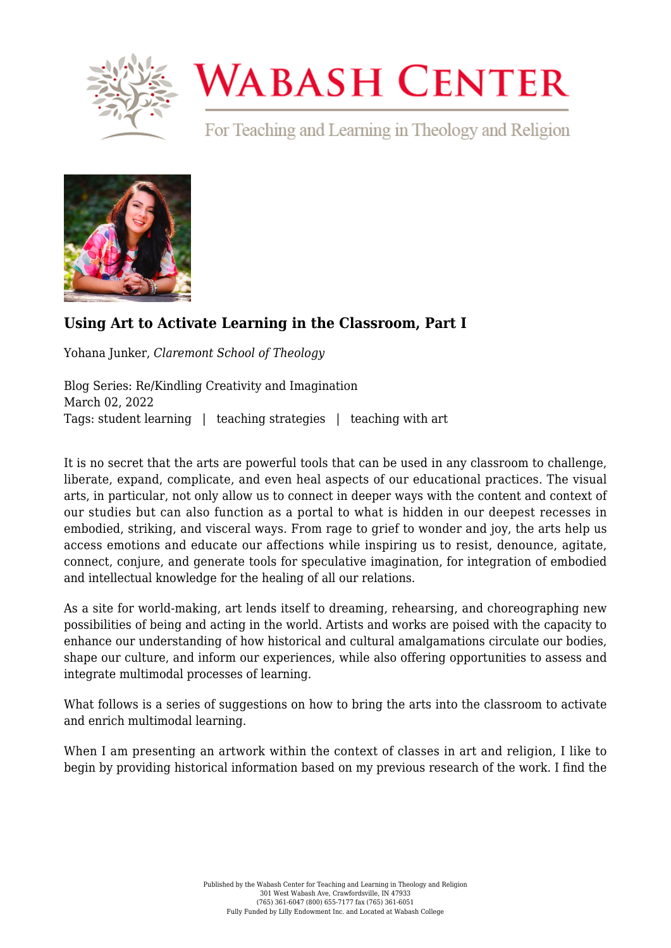

## **WABASH CENTER**

For Teaching and Learning in Theology and Religion



## **[Using Art to Activate Learning in the Classroom, Part I](https://www.wabashcenter.wabash.edu/2022/03/using-art-to-activate-learning-in-the-classroom-part-i/)**

Yohana Junker, *Claremont School of Theology*

Blog Series: Re/Kindling Creativity and Imagination March 02, 2022 Tags: student learning | teaching strategies | teaching with art

It is no secret that the arts are powerful tools that can be used in any classroom to challenge, liberate, expand, complicate, and even heal aspects of our educational practices. The visual arts, in particular, not only allow us to connect in deeper ways with the content and context of our studies but can also function as a portal to what is hidden in our deepest recesses in embodied, striking, and visceral ways. From rage to grief to wonder and joy, the arts help us access emotions and educate our affections while inspiring us to resist, denounce, agitate, connect, conjure, and generate tools for speculative imagination, for integration of embodied and intellectual knowledge for the healing of all our relations.

As a site for world-making, art lends itself to dreaming, rehearsing, and choreographing new possibilities of being and acting in the world. Artists and works are poised with the capacity to enhance our understanding of how historical and cultural amalgamations circulate our bodies, shape our culture, and inform our experiences, while also offering opportunities to assess and integrate multimodal processes of learning.

What follows is a series of suggestions on how to bring the arts into the classroom to activate and enrich multimodal learning.

When I am presenting an artwork within the context of classes in art and religion, I like to begin by providing historical information based on my previous research of the work. I find the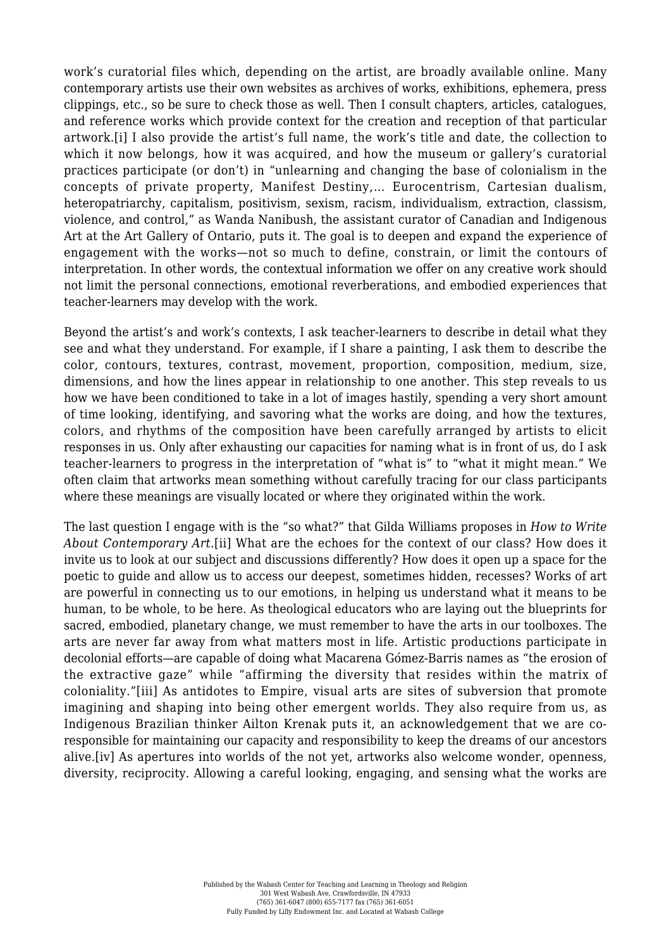<span id="page-1-0"></span>work's curatorial files which, depending on the artist, are broadly available online. Many contemporary artists use their own websites as archives of works, exhibitions, ephemera, press clippings, etc., so be sure to check those as well. Then I consult chapters, articles, catalogues, and reference works which provide context for the creation and reception of that particular artwork.[\[i\]](#page-2-0) I also provide the artist's full name, the work's title and date, the collection to which it now belongs, how it was acquired, and how the museum or gallery's curatorial practices participate (or don't) in "unlearning and changing the base of colonialism in the concepts of private property, Manifest Destiny,… Eurocentrism, Cartesian dualism, heteropatriarchy, capitalism, positivism, sexism, racism, individualism, extraction, classism, violence, and control," as Wanda Nanibush, the assistant curator of Canadian and Indigenous Art at the Art Gallery of Ontario, puts it. The goal is to deepen and expand the experience of engagement with the works—not so much to define, constrain, or limit the contours of interpretation. In other words, the contextual information we offer on any creative work should not limit the personal connections, emotional reverberations, and embodied experiences that teacher-learners may develop with the work.

Beyond the artist's and work's contexts, I ask teacher-learners to describe in detail what they see and what they understand. For example, if I share a painting, I ask them to describe the color, contours, textures, contrast, movement, proportion, composition, medium, size, dimensions, and how the lines appear in relationship to one another. This step reveals to us how we have been conditioned to take in a lot of images hastily, spending a very short amount of time looking, identifying, and savoring what the works are doing, and how the textures, colors, and rhythms of the composition have been carefully arranged by artists to elicit responses in us. Only after exhausting our capacities for naming what is in front of us, do I ask teacher-learners to progress in the interpretation of "what is" to "what it might mean." We often claim that artworks mean something without carefully tracing for our class participants where these meanings are visually located or where they originated within the work.

<span id="page-1-3"></span><span id="page-1-2"></span><span id="page-1-1"></span>The last question I engage with is the "so what?" that Gilda Williams proposes in *How to Write About Contemporary Art.*[\[ii\]](#page-2-1) What are the echoes for the context of our class? How does it invite us to look at our subject and discussions differently? How does it open up a space for the poetic to guide and allow us to access our deepest, sometimes hidden, recesses? Works of art are powerful in connecting us to our emotions, in helping us understand what it means to be human, to be whole, to be here. As theological educators who are laying out the blueprints for sacred, embodied, planetary change, we must remember to have the arts in our toolboxes. The arts are never far away from what matters most in life. Artistic productions participate in decolonial efforts—are capable of doing what Macarena Gómez-Barris names as "the erosion of the extractive gaze" while "affirming the diversity that resides within the matrix of coloniality."[\[iii\]](#page-2-2) As antidotes to Empire, visual arts are sites of subversion that promote imagining and shaping into being other emergent worlds. They also require from us, as Indigenous Brazilian thinker Ailton Krenak puts it, an acknowledgement that we are coresponsible for maintaining our capacity and responsibility to keep the dreams of our ancestors alive.[\[iv\]](#page-2-3) As apertures into worlds of the not yet, artworks also welcome wonder, openness, diversity, reciprocity. Allowing a careful looking, engaging, and sensing what the works are